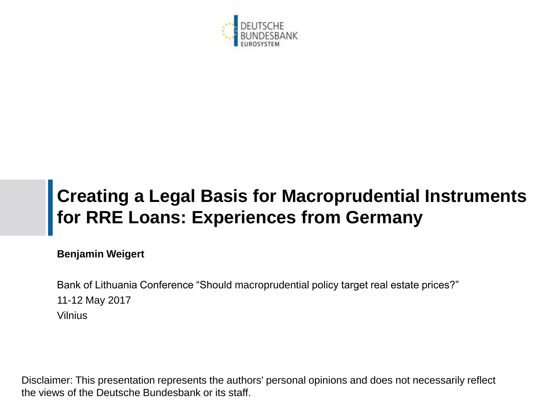

# **Creating a Legal Basis for Macroprudential Instruments for RRE Loans: Experiences from Germany**

**Benjamin Weigert**

Bank of Lithuania Conference "Should macroprudential policy target real estate prices?" 11-12 May 2017 Vilnius

Disclaimer: This presentation represents the authors' personal opinions and does not necessarily reflect the views of the Deutsche Bundesbank or its staff.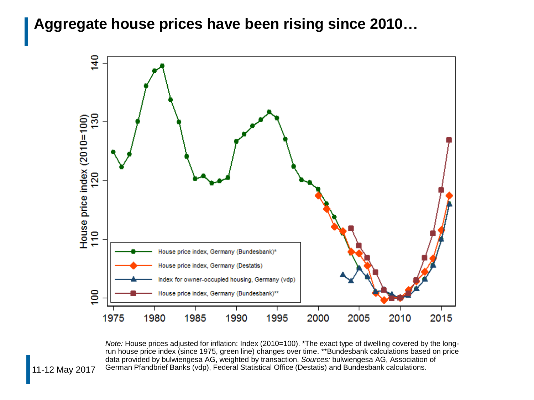#### **Aggregate house prices have been rising since 2010…**



*Note:* House prices adjusted for inflation: Index (2010=100). \*The exact type of dwelling covered by the longrun house price index (since 1975, green line) changes over time. \*\*Bundesbank calculations based on price data provided by bulwiengesa AG, weighted by transaction. *Sources:* bulwiengesa AG, Association of German Pfandbrief Banks (vdp), Federal Statistical Office (Destatis) and Bundesbank calculations.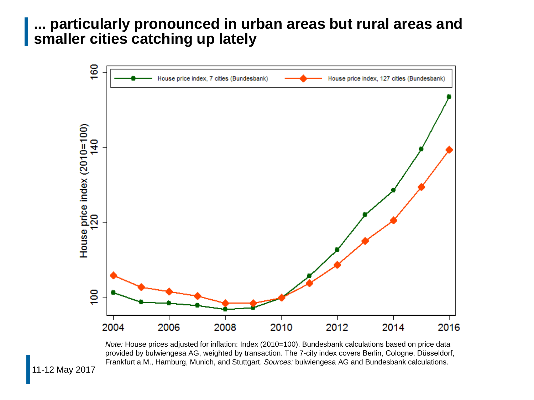#### **... particularly pronounced in urban areas but rural areas and smaller cities catching up lately**



*Note:* House prices adjusted for inflation: Index (2010=100). Bundesbank calculations based on price data provided by bulwiengesa AG, weighted by transaction. The 7-city index covers Berlin, Cologne, Düsseldorf, Frankfurt a.M., Hamburg, Munich, and Stuttgart. *Sources:* bulwiengesa AG and Bundesbank calculations.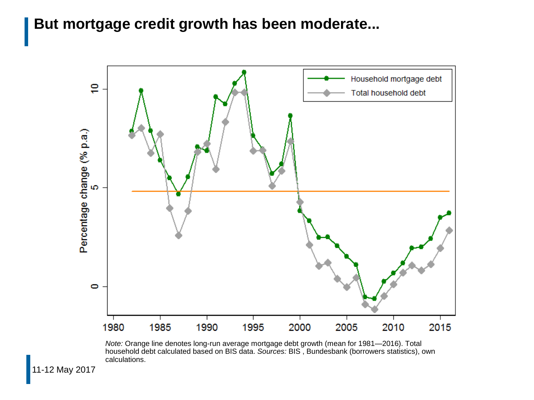# **But mortgage credit growth has been moderate...**



*Note:* Orange line denotes long-run average mortgage debt growth (mean for 1981—2016). Total household debt calculated based on BIS data. *Sources:* BIS , Bundesbank (borrowers statistics), own calculations.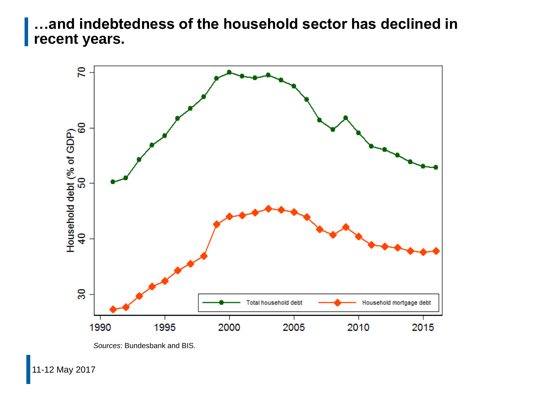**…and indebtedness of the household sector has declined in recent years.**



*Sources*: Bundesbank and BIS.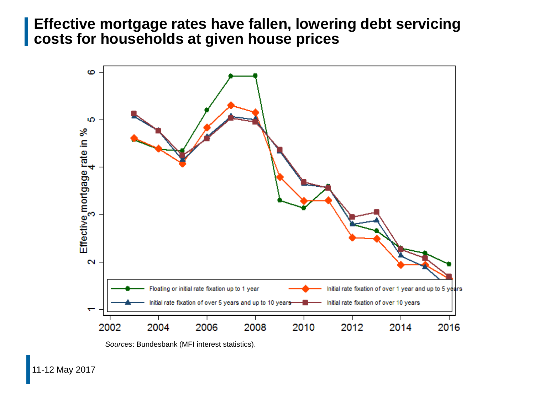#### **Effective mortgage rates have fallen, lowering debt servicing costs for households at given house prices**



*Sources*: Bundesbank (MFI interest statistics).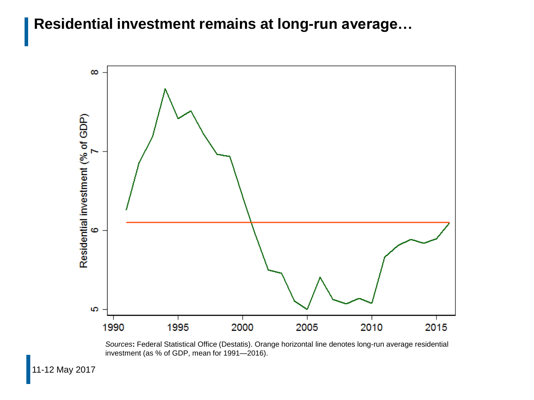#### **Residential investment remains at long-run average…**



*Sources***:** Federal Statistical Office (Destatis). Orange horizontal line denotes long-run average residential investment (as % of GDP, mean for 1991—2016).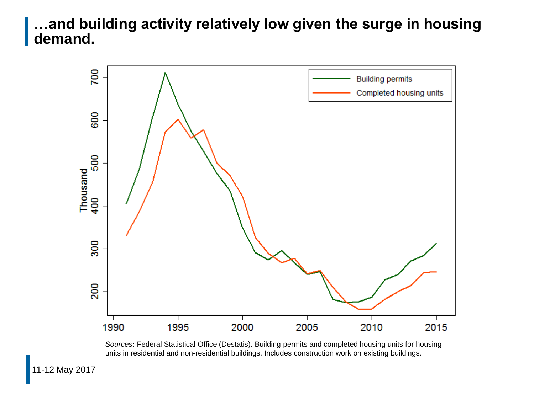# **…and building activity relatively low given the surge in housing demand.**



*Sources***:** Federal Statistical Office (Destatis). Building permits and completed housing units for housing units in residential and non-residential buildings. Includes construction work on existing buildings.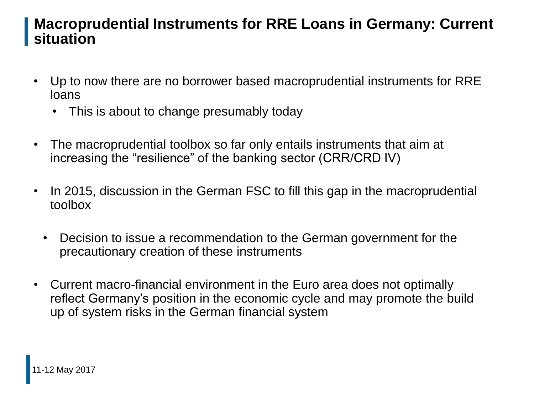## **Macroprudential Instruments for RRE Loans in Germany: Current situation**

- Up to now there are no borrower based macroprudential instruments for RRE loans
	- This is about to change presumably today
- The macroprudential toolbox so far only entails instruments that aim at increasing the "resilience" of the banking sector (CRR/CRD IV)
- In 2015, discussion in the German FSC to fill this gap in the macroprudential toolbox
	- Decision to issue a recommendation to the German government for the precautionary creation of these instruments
- Current macro-financial environment in the Euro area does not optimally reflect Germany's position in the economic cycle and may promote the build up of system risks in the German financial system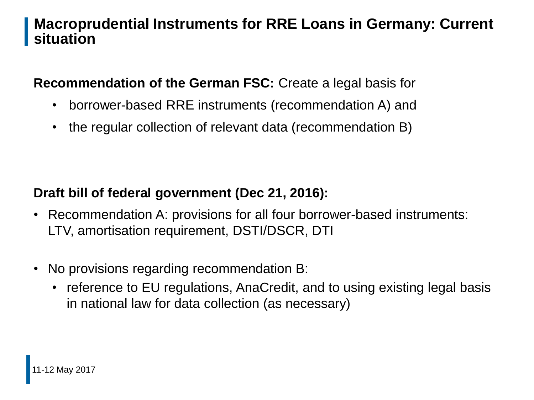# **Macroprudential Instruments for RRE Loans in Germany: Current situation**

**Recommendation of the German FSC:** Create a legal basis for

- borrower-based RRE instruments (recommendation A) and
- the regular collection of relevant data (recommendation B)

## **Draft bill of federal government (Dec 21, 2016):**

- Recommendation A: provisions for all four borrower-based instruments: LTV, amortisation requirement, DSTI/DSCR, DTI
- No provisions regarding recommendation B:
	- reference to EU regulations, AnaCredit, and to using existing legal basis in national law for data collection (as necessary)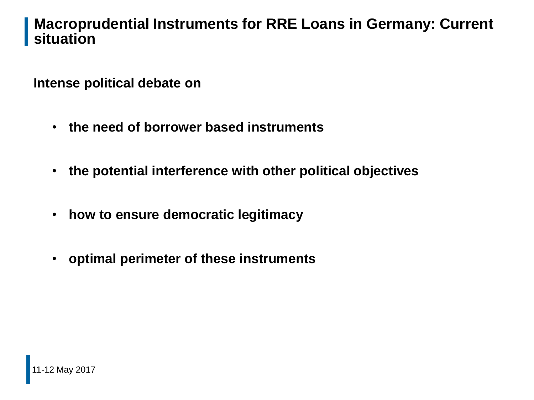#### **Macroprudential Instruments for RRE Loans in Germany: Current situation**

**Intense political debate on**

- **the need of borrower based instruments**
- **the potential interference with other political objectives**
- **how to ensure democratic legitimacy**
- **optimal perimeter of these instruments**